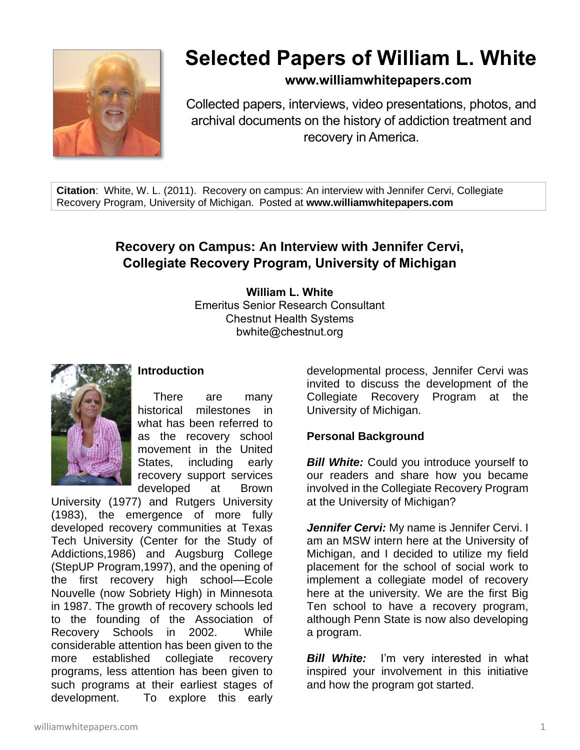

# **Selected Papers of William L. White**

## **www.williamwhitepapers.com**

Collected papers, interviews, video presentations, photos, and archival documents on the history of addiction treatment and recovery in America.

**Citation**: White, W. L. (2011). Recovery on campus: An interview with Jennifer Cervi, Collegiate Recovery Program, University of Michigan. Posted at **www.williamwhitepapers.com**

# **Recovery on Campus: An Interview with Jennifer Cervi, Collegiate Recovery Program, University of Michigan**

**William L. White** Emeritus Senior Research Consultant Chestnut Health Systems bwhite@chestnut.org



## **Introduction**

There are many historical milestones in what has been referred to as the recovery school movement in the United States, including early recovery support services developed at Brown

University (1977) and Rutgers University (1983), the emergence of more fully developed recovery communities at Texas Tech University (Center for the Study of Addictions,1986) and Augsburg College (StepUP Program,1997), and the opening of the first recovery high school—Ecole Nouvelle (now Sobriety High) in Minnesota in 1987. The growth of recovery schools led to the founding of the Association of Recovery Schools in 2002. While considerable attention has been given to the more established collegiate recovery programs, less attention has been given to such programs at their earliest stages of development. To explore this early

developmental process, Jennifer Cervi was invited to discuss the development of the Collegiate Recovery Program at the University of Michigan.

## **Personal Background**

**Bill White:** Could you introduce yourself to our readers and share how you became involved in the Collegiate Recovery Program at the University of Michigan?

*Jennifer Cervi:* My name is Jennifer Cervi. I am an MSW intern here at the University of Michigan, and I decided to utilize my field placement for the school of social work to implement a collegiate model of recovery here at the university. We are the first Big Ten school to have a recovery program, although Penn State is now also developing a program.

*Bill White:* I'm very interested in what inspired your involvement in this initiative and how the program got started.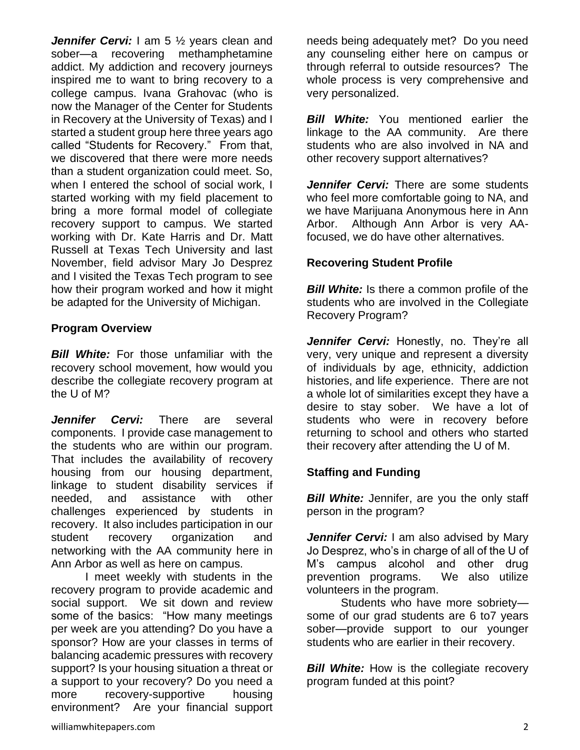*Jennifer Cervi:* I am 5 ½ years clean and sober—a recovering methamphetamine addict. My addiction and recovery journeys inspired me to want to bring recovery to a college campus. Ivana Grahovac (who is now the Manager of the Center for Students in Recovery at the University of Texas) and I started a student group here three years ago called "Students for Recovery." From that, we discovered that there were more needs than a student organization could meet. So, when I entered the school of social work, I started working with my field placement to bring a more formal model of collegiate recovery support to campus. We started working with Dr. Kate Harris and Dr. Matt Russell at Texas Tech University and last November, field advisor Mary Jo Desprez and I visited the Texas Tech program to see how their program worked and how it might be adapted for the University of Michigan.

## **Program Overview**

*Bill White:* For those unfamiliar with the recovery school movement, how would you describe the collegiate recovery program at the U of M?

*Jennifer Cervi:* There are several components. I provide case management to the students who are within our program. That includes the availability of recovery housing from our housing department, linkage to student disability services if needed, and assistance with other challenges experienced by students in recovery. It also includes participation in our student recovery organization and networking with the AA community here in Ann Arbor as well as here on campus.

I meet weekly with students in the recovery program to provide academic and social support. We sit down and review some of the basics: "How many meetings per week are you attending? Do you have a sponsor? How are your classes in terms of balancing academic pressures with recovery support? Is your housing situation a threat or a support to your recovery? Do you need a more recovery-supportive housing environment? Are your financial support needs being adequately met? Do you need any counseling either here on campus or through referral to outside resources? The whole process is very comprehensive and very personalized.

**Bill White:** You mentioned earlier the linkage to the AA community. Are there students who are also involved in NA and other recovery support alternatives?

*Jennifer Cervi:* There are some students who feel more comfortable going to NA, and we have Marijuana Anonymous here in Ann Arbor. Although Ann Arbor is very AAfocused, we do have other alternatives.

# **Recovering Student Profile**

*Bill White:* Is there a common profile of the students who are involved in the Collegiate Recovery Program?

Jennifer Cervi: Honestly, no. They're all very, very unique and represent a diversity of individuals by age, ethnicity, addiction histories, and life experience. There are not a whole lot of similarities except they have a desire to stay sober. We have a lot of students who were in recovery before returning to school and others who started their recovery after attending the U of M.

## **Staffing and Funding**

**Bill White:** Jennifer, are you the only staff person in the program?

*Jennifer Cervi:* I am also advised by Mary Jo Desprez, who's in charge of all of the U of M's campus alcohol and other drug prevention programs. We also utilize volunteers in the program.

Students who have more sobriety some of our grad students are 6 to7 years sober—provide support to our younger students who are earlier in their recovery.

*Bill White:* How is the collegiate recovery program funded at this point?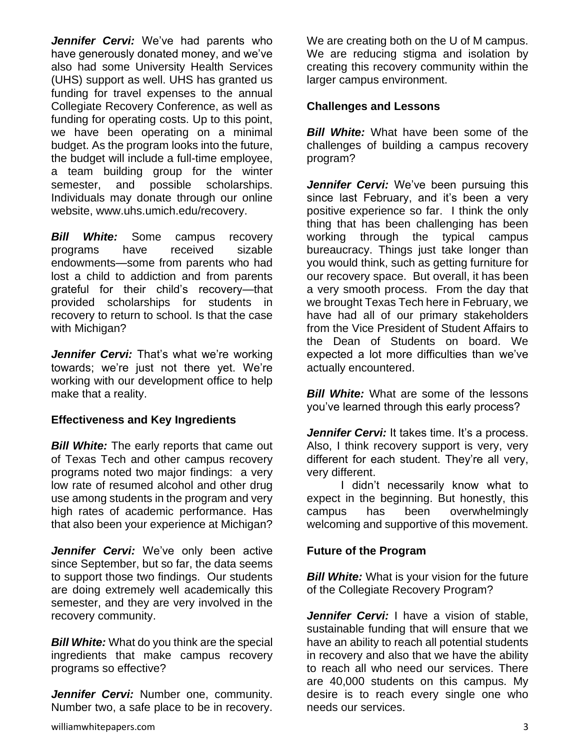*Jennifer Cervi:* We've had parents who have generously donated money, and we've also had some University Health Services (UHS) support as well. UHS has granted us funding for travel expenses to the annual Collegiate Recovery Conference, as well as funding for operating costs. Up to this point, we have been operating on a minimal budget. As the program looks into the future, the budget will include a full-time employee, a team building group for the winter semester, and possible scholarships. Individuals may donate through our online website, www.uhs.umich.edu/recovery.

*Bill White:* Some campus recovery programs have received sizable endowments—some from parents who had lost a child to addiction and from parents grateful for their child's recovery—that provided scholarships for students in recovery to return to school. Is that the case with Michigan?

*Jennifer Cervi:* That's what we're working towards; we're just not there yet. We're working with our development office to help make that a reality.

## **Effectiveness and Key Ingredients**

*Bill White:* The early reports that came out of Texas Tech and other campus recovery programs noted two major findings: a very low rate of resumed alcohol and other drug use among students in the program and very high rates of academic performance. Has that also been your experience at Michigan?

*Jennifer Cervi:* We've only been active since September, but so far, the data seems to support those two findings. Our students are doing extremely well academically this semester, and they are very involved in the recovery community.

*Bill White:* What do you think are the special ingredients that make campus recovery programs so effective?

*Jennifer Cervi:* Number one, community. Number two, a safe place to be in recovery. We are creating both on the U of M campus. We are reducing stigma and isolation by creating this recovery community within the larger campus environment.

#### **Challenges and Lessons**

*Bill White:* What have been some of the challenges of building a campus recovery program?

*Jennifer Cervi:* We've been pursuing this since last February, and it's been a very positive experience so far. I think the only thing that has been challenging has been working through the typical campus bureaucracy. Things just take longer than you would think, such as getting furniture for our recovery space. But overall, it has been a very smooth process. From the day that we brought Texas Tech here in February, we have had all of our primary stakeholders from the Vice President of Student Affairs to the Dean of Students on board. We expected a lot more difficulties than we've actually encountered.

**Bill White:** What are some of the lessons you've learned through this early process?

*Jennifer Cervi:* It takes time. It's a process. Also, I think recovery support is very, very different for each student. They're all very, very different.

I didn't necessarily know what to expect in the beginning. But honestly, this campus has been overwhelmingly welcoming and supportive of this movement.

## **Future of the Program**

*Bill White:* What is your vision for the future of the Collegiate Recovery Program?

*Jennifer Cervi:* I have a vision of stable. sustainable funding that will ensure that we have an ability to reach all potential students in recovery and also that we have the ability to reach all who need our services. There are 40,000 students on this campus. My desire is to reach every single one who needs our services.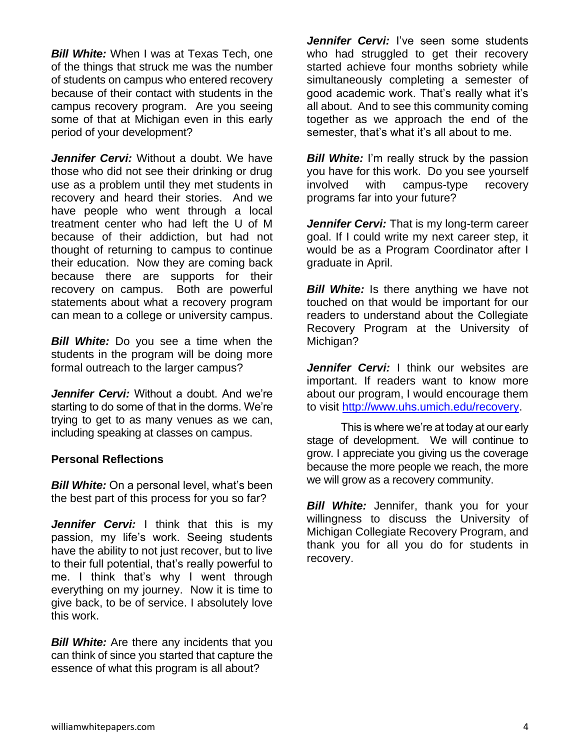*Bill White:* When I was at Texas Tech, one of the things that struck me was the number of students on campus who entered recovery because of their contact with students in the campus recovery program. Are you seeing some of that at Michigan even in this early period of your development?

*Jennifer Cervi:* Without a doubt. We have those who did not see their drinking or drug use as a problem until they met students in recovery and heard their stories. And we have people who went through a local treatment center who had left the U of M because of their addiction, but had not thought of returning to campus to continue their education. Now they are coming back because there are supports for their recovery on campus. Both are powerful statements about what a recovery program can mean to a college or university campus.

*Bill White:* Do you see a time when the students in the program will be doing more formal outreach to the larger campus?

*Jennifer Cervi:* Without a doubt. And we're starting to do some of that in the dorms. We're trying to get to as many venues as we can, including speaking at classes on campus.

#### **Personal Reflections**

*Bill White:* On a personal level, what's been the best part of this process for you so far?

*Jennifer Cervi:* I think that this is my passion, my life's work. Seeing students have the ability to not just recover, but to live to their full potential, that's really powerful to me. I think that's why I went through everything on my journey. Now it is time to give back, to be of service. I absolutely love this work.

*Bill White:* Are there any incidents that you can think of since you started that capture the essence of what this program is all about?

*Jennifer Cervi:* I've seen some students who had struggled to get their recovery started achieve four months sobriety while simultaneously completing a semester of good academic work. That's really what it's all about. And to see this community coming together as we approach the end of the semester, that's what it's all about to me.

**Bill White:** I'm really struck by the passion you have for this work. Do you see yourself involved with campus-type recovery programs far into your future?

*Jennifer Cervi:* That is my long-term career goal. If I could write my next career step, it would be as a Program Coordinator after I graduate in April.

*Bill White:* Is there anything we have not touched on that would be important for our readers to understand about the Collegiate Recovery Program at the University of Michigan?

*Jennifer Cervi:* I think our websites are important. If readers want to know more about our program, I would encourage them to visit [http://www.uhs.umich.edu/recovery.](http://www.uhs.umich.edu/recovery)

This is where we're at today at our early stage of development. We will continue to grow. I appreciate you giving us the coverage because the more people we reach, the more we will grow as a recovery community.

**Bill White:** Jennifer, thank you for your willingness to discuss the University of Michigan Collegiate Recovery Program, and thank you for all you do for students in recovery.